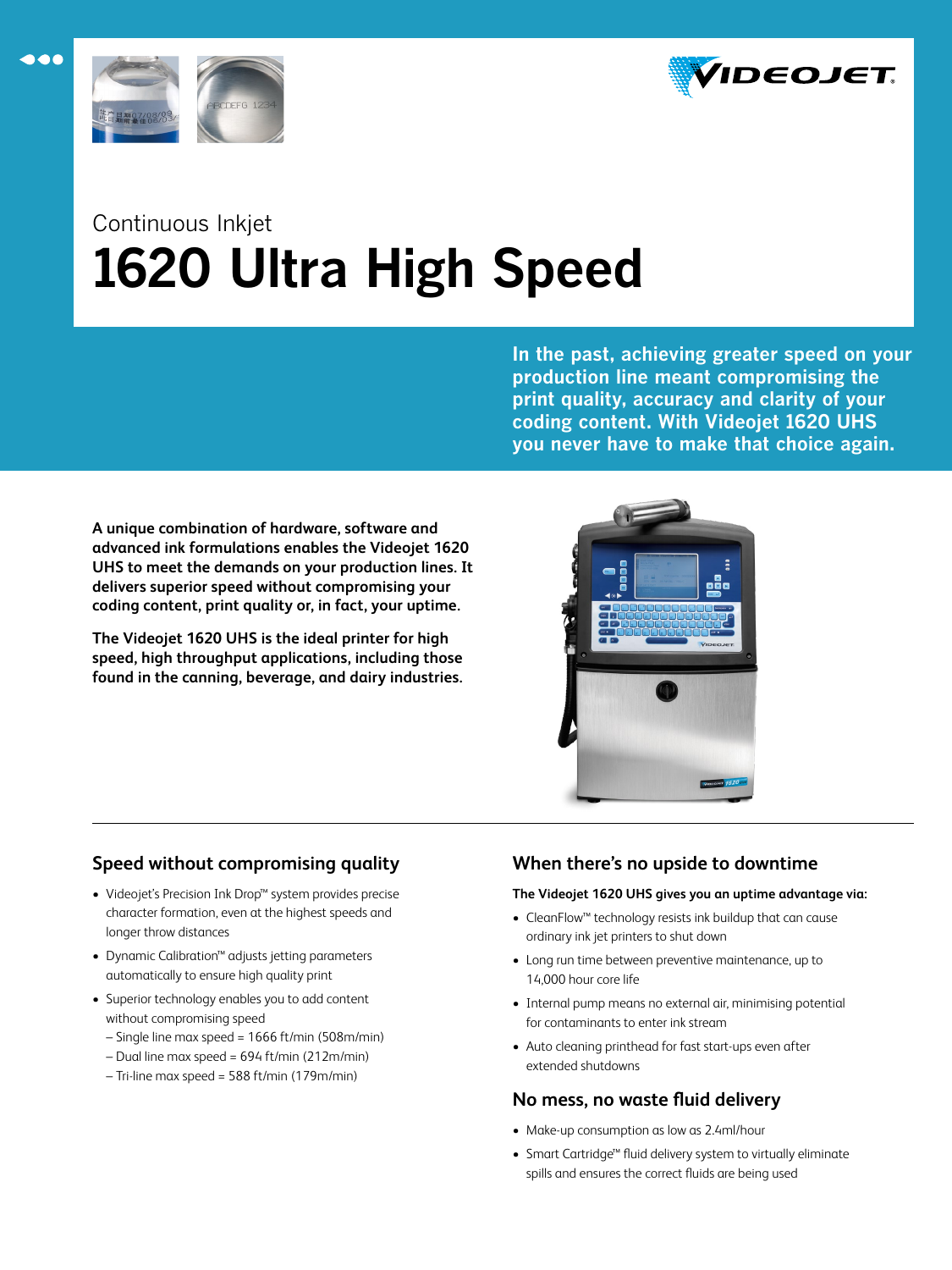



 $\bullet\bullet\bullet$ 

# Continuous Inkjet **1620 Ultra High Speed**

**In the past, achieving greater speed on your production line meant compromising the print quality, accuracy and clarity of your coding content. With Videojet 1620 UHS you never have to make that choice again.**

**A unique combination of hardware, software and advanced ink formulations enables the Videojet 1620 UHS to meet the demands on your production lines. It delivers superior speed without compromising your coding content, print quality or, in fact, your uptime.** 

**The Videojet 1620 UHS is the ideal printer for high speed, high throughput applications, including those found in the canning, beverage, and dairy industries.**



# **Speed without compromising quality**

- Videojet's Precision Ink Drop™ system provides precise character formation, even at the highest speeds and longer throw distances
- Dynamic Calibration™ adjusts jetting parameters automatically to ensure high quality print
- Superior technology enables you to add content without compromising speed
	- Single line max speed = 1666 ft/min (508m/min)
	- Dual line max speed = 694 ft/min (212m/min)
	- Tri-line max speed = 588 ft/min (179m/min)

# **When there's no upside to downtime**

# **The Videojet 1620 UHS gives you an uptime advantage via:**

- CleanFlow™ technology resists ink buildup that can cause ordinary ink jet printers to shut down
- Long run time between preventive maintenance, up to 14,000 hour core life
- Internal pump means no external air, minimising potential for contaminants to enter ink stream
- Auto cleaning printhead for fast start-ups even after extended shutdowns

# **No mess, no waste fluid delivery**

- Make-up consumption as low as 2.4ml/hour
- Smart Cartridge™ fluid delivery system to virtually eliminate spills and ensures the correct fluids are being used